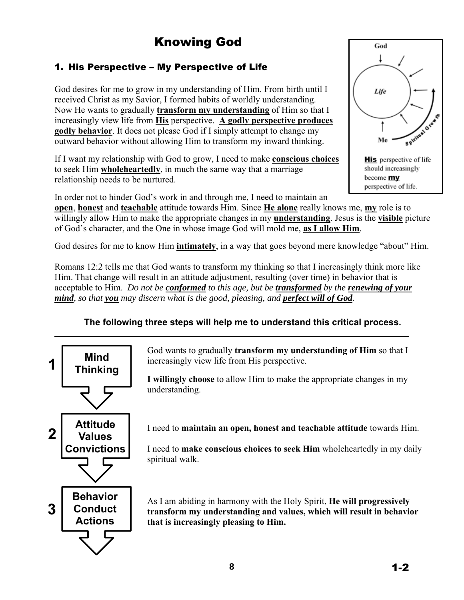# Knowing God

# 1. His Perspective – My Perspective of Life

God desires for me to grow in my understanding of Him. From birth until I received Christ as my Savior, I formed habits of worldly understanding. Now He wants to gradually **transform my understanding** of Him so that I increasingly view life from **His** perspective. **A godly perspective produces godly behavior**. It does not please God if I simply attempt to change my outward behavior without allowing Him to transform my inward thinking.

If I want my relationship with God to grow, I need to make **conscious choices** to seek Him **wholeheartedly**, in much the same way that a marriage relationship needs to be nurtured.



In order not to hinder God's work in and through me, I need to maintain an **open**, **honest** and **teachable** attitude towards Him. Since **He alone** really knows me, **my** role is to willingly allow Him to make the appropriate changes in my **understanding**. Jesus is the **visible** picture

of God's character, and the One in whose image God will mold me, **as I allow Him**.

God desires for me to know Him **intimately**, in a way that goes beyond mere knowledge "about" Him.

Romans 12:2 tells me that God wants to transform my thinking so that I increasingly think more like Him. That change will result in an attitude adjustment, resulting (over time) in behavior that is acceptable to Him. *Do not be conformed to this age, but be transformed by the renewing of your mind, so that you may discern what is the good, pleasing, and perfect will of God.*

# **The following three steps will help me to understand this critical process.**



God wants to gradually **transform my understanding of Him** so that I increasingly view life from His perspective.

**I willingly choose** to allow Him to make the appropriate changes in my understanding.

I need to **maintain an open, honest and teachable attitude** towards Him.

I need to **make conscious choices to seek Him** wholeheartedly in my daily spiritual walk.

As I am abiding in harmony with the Holy Spirit, **He will progressively transform my understanding and values, which will result in behavior that is increasingly pleasing to Him.**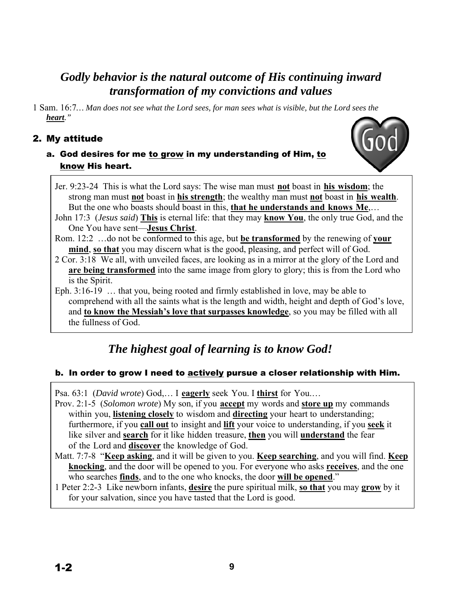# *Godly behavior is the natural outcome of His continuing inward transformation of my convictions and values*

1 Sam. 16:7*… Man does not see what the Lord sees, for man sees what is visible, but the Lord sees the heart."* 

# 2. My attitude

a. God desires for me to grow in my understanding of Him, to know His heart.



- Jer. 9:23-24 This is what the Lord says: The wise man must **not** boast in **his wisdom**; the strong man must **not** boast in **his strength**; the wealthy man must **not** boast in **his** wealth. But the one who boasts should boast in this, **that he understands and knows Me**,...
- John 17:3 (*Jesus said*) **This** is eternal life: that they may **know You**, the only true God, and the One You have sent—**Jesus Christ**.
- Rom. 12:2 …do not be conformed to this age, but **be transformed** by the renewing of **your mind**, **so that** you may discern what is the good, pleasing, and perfect will of God.
- 2 Cor. 3:18 We all, with unveiled faces, are looking as in a mirror at the glory of the Lord and **are being transformed** into the same image from glory to glory; this is from the Lord who is the Spirit.
- Eph. 3:16-19 … that you, being rooted and firmly established in love, may be able to comprehend with all the saints what is the length and width, height and depth of God's love, and **to know the Messiah's love that surpasses knowledge**, so you may be filled with all the fullness of God.

# *The highest goal of learning is to know God!*

# b. In order to grow I need to actively pursue a closer relationship with Him.

Psa. 63:1 (*David wrote*) God,... I **eagerly** seek You. I **thirst** for You....

- Prov. 2:1-5 (*Solomon wrote*) My son, if you **accept** my words and **store up** my commands within you, **listening closely** to wisdom and **directing** your heart to understanding; furthermore, if you **call out** to insight and **lift** your voice to understanding, if you **seek** it like silver and **search** for it like hidden treasure, **then** you will **understand** the fear of the Lord and **discover** the knowledge of God.
- Matt. 7:7-8 "**Keep asking**, and it will be given to you. **Keep searching**, and you will find. **Keep knocking**, and the door will be opened to you. For everyone who asks **receives**, and the one who searches **finds**, and to the one who knocks, the door **will be opened**."
- 1 Peter 2:2-3 Like newborn infants, **desire** the pure spiritual milk, **so that** you may **grow** by it for your salvation, since you have tasted that the Lord is good.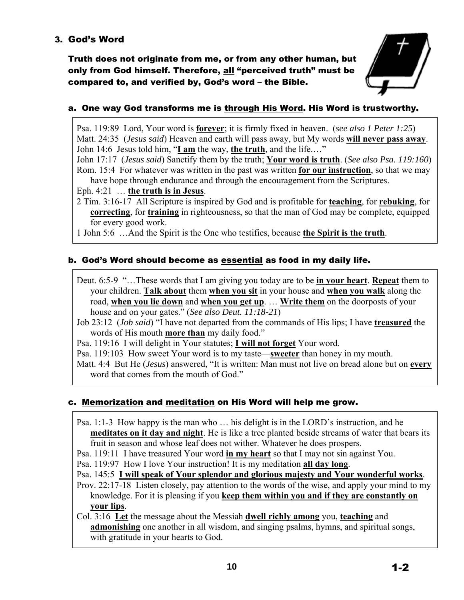# 3. God's Word

Truth does not originate from me, or from any other human, but only from God himself. Therefore, all "perceived truth" must be compared to, and verified by, God's word – the Bible.



## a. One way God transforms me is through His Word. His Word is trustworthy.

Psa. 119:89 Lord, Your word is **forever**; it is firmly fixed in heaven. (*see also 1 Peter 1:25*) Matt. 24:35 (*Jesus said*) Heaven and earth will pass away, but My words **will never pass away**. John 14:6 Jesus told him, "**I am** the way, **the truth**, and the life.…"

John 17:17 (*Jesus said*) Sanctify them by the truth; **Your word is truth**. (*See also Psa. 119:160*) Rom. 15:4 For whatever was written in the past was written **for our instruction**, so that we may have hope through endurance and through the encouragement from the Scriptures.

### Eph. 4:21 … **the truth is in Jesus**.

2 Tim. 3:16-17 All Scripture is inspired by God and is profitable for **teaching**, for **rebuking**, for **correcting**, for **training** in righteousness, so that the man of God may be complete, equipped for every good work.

1 John 5:6 …And the Spirit is the One who testifies, because **the Spirit is the truth**.

### b. God's Word should become as essential as food in my daily life.

- Deut. 6:5-9 "…These words that I am giving you today are to be **in your heart**. **Repeat** them to your children. **Talk about** them **when you sit** in your house and **when you walk** along the road, **when you lie down** and **when you get up**. … **Write them** on the doorposts of your house and on your gates." (*See also Deut. 11:18-21*)
- Job 23:12(*Job said*) "I have not departed from the commands of His lips; I have **treasured** the words of His mouth **more than** my daily food."

Psa. 119:16 I will delight in Your statutes; **I will not forget** Your word.

Psa. 119:103How sweet Your word is to my taste—**sweeter** than honey in my mouth.

Matt. 4:4 But He (*Jesus*) answered, "It is written: Man must not live on bread alone but on **every** word that comes from the mouth of God."

#### c. Memorization and meditation on His Word will help me grow.

Psa. 1:1-3 How happy is the man who … his delight is in the LORD's instruction, and he **meditates on it day and night**. He is like a tree planted beside streams of water that bears its fruit in season and whose leaf does not wither. Whatever he does prospers.

- Psa. 119:11 I have treasured Your word **in my heart** so that I may not sin against You.
- Psa. 119:97 How I love Your instruction! It is my meditation **all day long**.

Psa. 145:5 **I will speak of Your splendor and glorious majesty and Your wonderful works**.

- Prov. 22:17-18 Listen closely, pay attention to the words of the wise, and apply your mind to my knowledge. For it is pleasing if you **keep them within you and if they are constantly on your lips**.
- Col. 3:16 **Let** the message about the Messiah **dwell richly among** you, **teaching** and **admonishing** one another in all wisdom, and singing psalms, hymns, and spiritual songs, with gratitude in your hearts to God.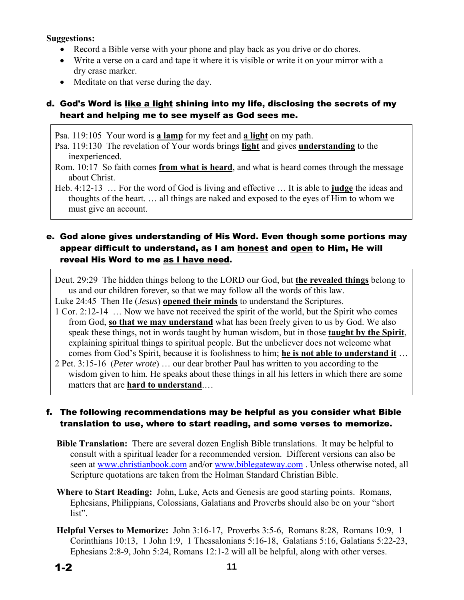#### **Suggestions:**

- Record a Bible verse with your phone and play back as you drive or do chores.
- Write a verse on a card and tape it where it is visible or write it on your mirror with a dry erase marker.
- Meditate on that verse during the day.

### d. God's Word is like a light shining into my life, disclosing the secrets of my heart and helping me to see myself as God sees me.

Psa. 119:105 Your word is **a lamp** for my feet and **a light** on my path.

- Psa. 119:130 The revelation of Your words brings **light** and gives **understanding** to the inexperienced.
- Rom. 10:17 So faith comes **from what is heard**, and what is heard comes through the message about Christ.

Heb. 4:12-13 … For the word of God is living and effective … It is able to **judge** the ideas and thoughts of the heart. … all things are naked and exposed to the eyes of Him to whom we must give an account.

## e. God alone gives understanding of His Word. Even though some portions may appear difficult to understand, as I am honest and open to Him, He will reveal His Word to me as I have need.

Deut. 29:29 The hidden things belong to the LORD our God, but **the revealed things** belong to us and our children forever, so that we may follow all the words of this law.

Luke 24:45 Then He (*Jesus*) **opened their minds** to understand the Scriptures.

- 1 Cor. 2:12-14 … Now we have not received the spirit of the world, but the Spirit who comes from God, **so that we may understand** what has been freely given to us by God. We also speak these things, not in words taught by human wisdom, but in those **taught by the Spirit**, explaining spiritual things to spiritual people. But the unbeliever does not welcome what comes from God's Spirit, because it is foolishness to him; **he is not able to understand it** …
- 2 Pet. 3:15-16 (*Peter wrote*) … our dear brother Paul has written to you according to the wisdom given to him. He speaks about these things in all his letters in which there are some matters that are **hard to understand**.…

### f. The following recommendations may be helpful as you consider what Bible translation to use, where to start reading, and some verses to memorize.

- **Bible Translation:** There are several dozen English Bible translations. It may be helpful to consult with a spiritual leader for a recommended version. Different versions can also be seen at www.christianbook.com and/or www.biblegateway.com . Unless otherwise noted, all Scripture quotations are taken from the Holman Standard Christian Bible.
- **Where to Start Reading:** John, Luke, Acts and Genesis are good starting points. Romans, Ephesians, Philippians, Colossians, Galatians and Proverbs should also be on your "short list".
- **Helpful Verses to Memorize:** John 3:16-17, Proverbs 3:5-6, Romans 8:28, Romans 10:9, 1 Corinthians 10:13, 1 John 1:9, 1 Thessalonians 5:16-18, Galatians 5:16, Galatians 5:22-23, Ephesians 2:8-9, John 5:24, Romans 12:1-2 will all be helpful, along with other verses.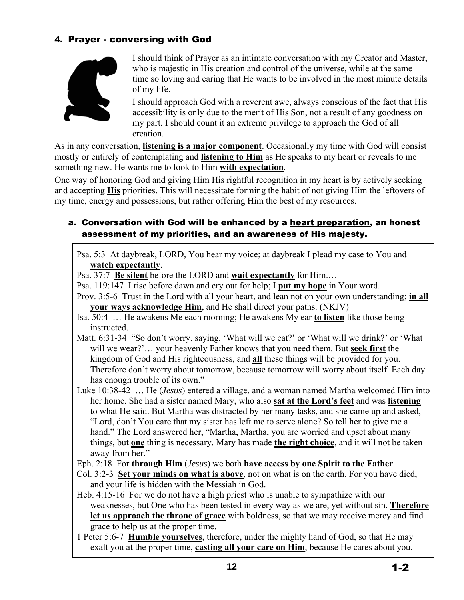# 4. Prayer - conversing with God



I should think of Prayer as an intimate conversation with my Creator and Master, who is majestic in His creation and control of the universe, while at the same time so loving and caring that He wants to be involved in the most minute details of my life.

I should approach God with a reverent awe, always conscious of the fact that His accessibility is only due to the merit of His Son, not a result of any goodness on my part. I should count it an extreme privilege to approach the God of all creation.

As in any conversation, **listening is a major component**. Occasionally my time with God will consist mostly or entirely of contemplating and **listening to Him** as He speaks to my heart or reveals to me something new. He wants me to look to Him **with expectation**.

One way of honoring God and giving Him His rightful recognition in my heart is by actively seeking and accepting **His** priorities. This will necessitate forming the habit of not giving Him the leftovers of my time, energy and possessions, but rather offering Him the best of my resources.

## a. Conversation with God will be enhanced by a heart preparation, an honest assessment of my priorities, and an awareness of His majesty.

Psa. 5:3 At daybreak, LORD, You hear my voice; at daybreak I plead my case to You and **watch expectantly**.

Psa. 37:7 **Be silent** before the LORD and **wait expectantly** for Him.…

- Psa. 119:147 I rise before dawn and cry out for help; I **put my hope** in Your word.
- Prov. 3:5-6 Trust in the Lord with all your heart, and lean not on your own understanding; **in all your ways acknowledge Him**, and He shall direct your paths. (NKJV)
- Isa. 50:4 … He awakens Me each morning; He awakens My ear **to listen** like those being instructed.
- Matt. 6:31-34 "So don't worry, saying, 'What will we eat?' or 'What will we drink?' or 'What will we wear?'… your heavenly Father knows that you need them. But **seek first** the kingdom of God and His righteousness, and **all** these things will be provided for you. Therefore don't worry about tomorrow, because tomorrow will worry about itself. Each day has enough trouble of its own."
- Luke 10:38-42 … He (*Jesus*) entered a village, and a woman named Martha welcomed Him into her home. She had a sister named Mary, who also **sat at the Lord's feet** and was **listening** to what He said. But Martha was distracted by her many tasks, and she came up and asked, "Lord, don't You care that my sister has left me to serve alone? So tell her to give me a hand." The Lord answered her, "Martha, Martha, you are worried and upset about many things, but **one** thing is necessary. Mary has made **the right choice**, and it will not be taken away from her."

Eph. 2:18 For **through Him** (*Jesus*) we both **have access by one Spirit to the Father**.

- Col. 3:2-3 **Set your minds on what is above**, not on what is on the earth. For you have died, and your life is hidden with the Messiah in God.
- Heb. 4:15-16 For we do not have a high priest who is unable to sympathize with our weaknesses, but One who has been tested in every way as we are, yet without sin. **Therefore let us approach the throne of grace** with boldness, so that we may receive mercy and find grace to help us at the proper time.
- 1 Peter 5:6-7 **Humble yourselves**, therefore, under the mighty hand of God, so that He may exalt you at the proper time, **casting all your care on Him**, because He cares about you.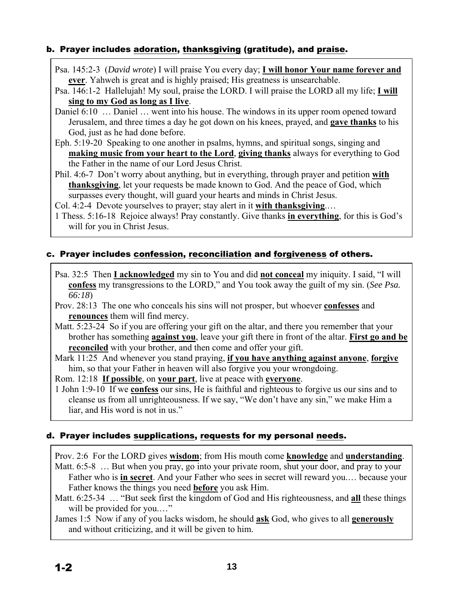## b. Prayer includes adoration, thanksgiving (gratitude), and praise.

- Psa. 145:2-3 (*David wrote*) I will praise You every day; **I will honor Your name forever and ever**. Yahweh is great and is highly praised; His greatness is unsearchable.
- Psa. 146:1-2 Hallelujah! My soul, praise the LORD. I will praise the LORD all my life; **I will sing to my God as long as I live**.
- Daniel 6:10 … Daniel … went into his house. The windows in its upper room opened toward Jerusalem, and three times a day he got down on his knees, prayed, and **gave thanks** to his God, just as he had done before.
- Eph. 5:19-20 Speaking to one another in psalms, hymns, and spiritual songs, singing and **making music from your heart to the Lord**, **giving thanks** always for everything to God the Father in the name of our Lord Jesus Christ.
- Phil. 4:6-7 Don't worry about anything, but in everything, through prayer and petition **with thanksgiving**, let your requests be made known to God. And the peace of God, which surpasses every thought, will guard your hearts and minds in Christ Jesus.

Col. 4:2-4 Devote yourselves to prayer; stay alert in it **with thanksgiving**.…

1 Thess. 5:16-18 Rejoice always! Pray constantly. Give thanks **in everything**, for this is God's will for you in Christ Jesus.

## c. Prayer includes confession, reconciliation and forgiveness of others.

Psa. 32:5 Then **I acknowledged** my sin to You and did **not conceal** my iniquity. I said, "I will **confess** my transgressions to the LORD," and You took away the guilt of my sin. (*See Psa. 66:18*)

Prov. 28:13 The one who conceals his sins will not prosper, but whoever **confesses** and **renounces** them will find mercy.

- Matt. 5:23-24 So if you are offering your gift on the altar, and there you remember that your brother has something **against you**, leave your gift there in front of the altar. **First go and be reconciled** with your brother, and then come and offer your gift.
- Mark 11:25 And whenever you stand praying, **if you have anything against anyone**, **forgive** him, so that your Father in heaven will also forgive you your wrongdoing.

Rom. 12:18 **If possible**, on **your part**, live at peace with **everyone**.

1 John 1:9-10 If we **confess** our sins, He is faithful and righteous to forgive us our sins and to cleanse us from all unrighteousness. If we say, "We don't have any sin," we make Him a liar, and His word is not in us."

# d. Prayer includes supplications, requests for my personal needs.

Prov. 2:6 For the LORD gives **wisdom**; from His mouth come **knowledge** and **understanding**. Matt. 6:5-8 ... But when you pray, go into your private room, shut your door, and pray to your Father who is **in secret**. And your Father who sees in secret will reward you.… because your Father knows the things you need **before** you ask Him.

Matt. 6:25-34 … "But seek first the kingdom of God and His righteousness, and **all** these things will be provided for you...."

James 1:5 Now if any of you lacks wisdom, he should **ask** God, who gives to all **generously** and without criticizing, and it will be given to him.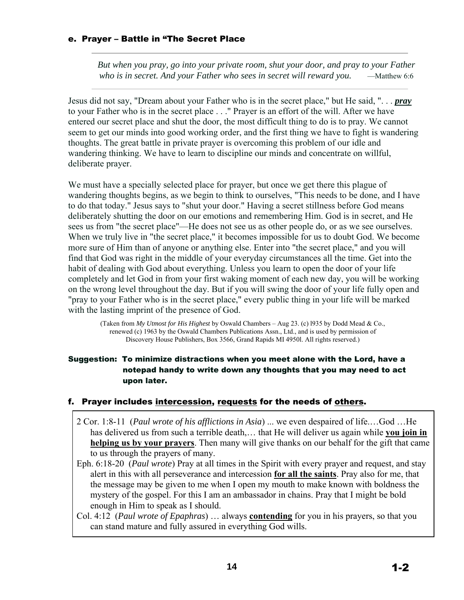#### e. Prayer – Battle in "The Secret Place

*But when you pray, go into your private room, shut your door, and pray to your Father*  who is in secret. And your Father who sees in secret will reward you. —Matthew 6:6

Jesus did not say, "Dream about your Father who is in the secret place," but He said, ". . . *pray* to your Father who is in the secret place . . ." Prayer is an effort of the will. After we have entered our secret place and shut the door, the most difficult thing to do is to pray. We cannot seem to get our minds into good working order, and the first thing we have to fight is wandering thoughts. The great battle in private prayer is overcoming this problem of our idle and wandering thinking. We have to learn to discipline our minds and concentrate on willful, deliberate prayer.

We must have a specially selected place for prayer, but once we get there this plague of wandering thoughts begins, as we begin to think to ourselves, "This needs to be done, and I have to do that today." Jesus says to "shut your door." Having a secret stillness before God means deliberately shutting the door on our emotions and remembering Him. God is in secret, and He sees us from "the secret place"—He does not see us as other people do, or as we see ourselves. When we truly live in "the secret place," it becomes impossible for us to doubt God. We become more sure of Him than of anyone or anything else. Enter into "the secret place," and you will find that God was right in the middle of your everyday circumstances all the time. Get into the habit of dealing with God about everything. Unless you learn to open the door of your life completely and let God in from your first waking moment of each new day, you will be working on the wrong level throughout the day. But if you will swing the door of your life fully open and "pray to your Father who is in the secret place," every public thing in your life will be marked with the lasting imprint of the presence of God.

(Taken from *My Utmost for His Highest* by Oswald Chambers – Aug 23. (c) l935 by Dodd Mead & Co., renewed (c) 1963 by the Oswald Chambers Publications Assn., Ltd., and is used by permission of Discovery House Publishers, Box 3566, Grand Rapids MI 4950l. All rights reserved.)

#### Suggestion: To minimize distractions when you meet alone with the Lord, have a notepad handy to write down any thoughts that you may need to act upon later.

#### f. Prayer includes intercession, requests for the needs of others.

- 2 Cor. 1:8-11 (*Paul wrote of his afflictions in Asia*) ... we even despaired of life.…God …He has delivered us from such a terrible death,… that He will deliver us again while **you join in helping us by your prayers**. Then many will give thanks on our behalf for the gift that came to us through the prayers of many.
- Eph. 6:18-20 (*Paul wrote*) Pray at all times in the Spirit with every prayer and request, and stay alert in this with all perseverance and intercession **for all the saints**. Pray also for me, that the message may be given to me when I open my mouth to make known with boldness the mystery of the gospel. For this I am an ambassador in chains. Pray that I might be bold enough in Him to speak as I should.
- Col. 4:12 (*Paul wrote of Epaphras*) … always **contending** for you in his prayers, so that you can stand mature and fully assured in everything God wills.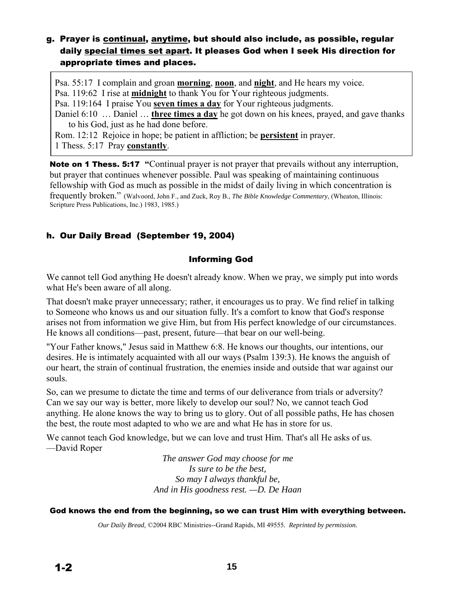## g. Prayer is continual, anytime, but should also include, as possible, regular daily special times set apart. It pleases God when I seek His direction for appropriate times and places.

Psa. 55:17 I complain and groan **morning**, **noon**, and **night**, and He hears my voice. Psa. 119:62 I rise at **midnight** to thank You for Your righteous judgments. Psa. 119:164 I praise You **seven times a day** for Your righteous judgments. Daniel 6:10 … Daniel … **three times a day** he got down on his knees, prayed, and gave thanks to his God, just as he had done before.

Rom. 12:12 Rejoice in hope; be patient in affliction; be **persistent** in prayer.

1 Thess. 5:17 Pray **constantly**.

Note on 1 Thess. 5:17 **"**Continual prayer is not prayer that prevails without any interruption, but prayer that continues whenever possible. Paul was speaking of maintaining continuous fellowship with God as much as possible in the midst of daily living in which concentration is frequently broken." (Walvoord, John F., and Zuck, Roy B., *The Bible Knowledge Commentary*, (Wheaton, Illinois: Scripture Press Publications, Inc.) 1983, 1985.)

### h. Our Daily Bread (September 19, 2004)

#### Informing God

We cannot tell God anything He doesn't already know. When we pray, we simply put into words what He's been aware of all along.

That doesn't make prayer unnecessary; rather, it encourages us to pray. We find relief in talking to Someone who knows us and our situation fully. It's a comfort to know that God's response arises not from information we give Him, but from His perfect knowledge of our circumstances. He knows all conditions—past, present, future—that bear on our well-being.

"Your Father knows," Jesus said in Matthew 6:8. He knows our thoughts, our intentions, our desires. He is intimately acquainted with all our ways (Psalm 139:3). He knows the anguish of our heart, the strain of continual frustration, the enemies inside and outside that war against our souls.

So, can we presume to dictate the time and terms of our deliverance from trials or adversity? Can we say our way is better, more likely to develop our soul? No, we cannot teach God anything. He alone knows the way to bring us to glory. Out of all possible paths, He has chosen the best, the route most adapted to who we are and what He has in store for us.

We cannot teach God knowledge, but we can love and trust Him. That's all He asks of us. —David Roper

> *The answer God may choose for me Is sure to be the best, So may I always thankful be, And in His goodness rest. —D. De Haan*

#### God knows the end from the beginning, so we can trust Him with everything between.

*Our Daily Bread,* ©2004 RBC Ministries--Grand Rapids, MI 49555*. Reprinted by permission.*